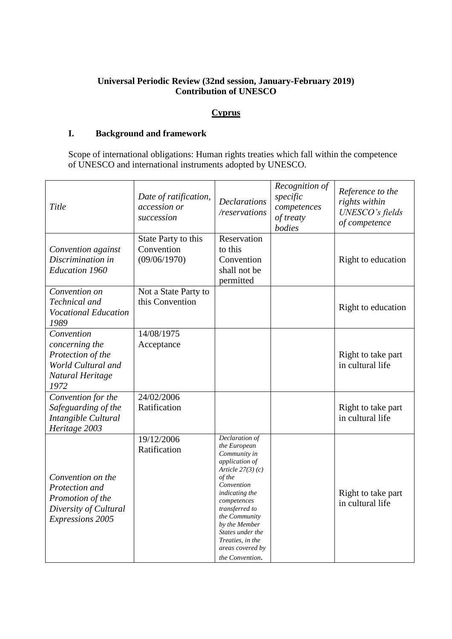# **Universal Periodic Review (32nd session, January-February 2019) Contribution of UNESCO**

# **Cyprus**

# **I. Background and framework**

Scope of international obligations: Human rights treaties which fall within the competence of UNESCO and international instruments adopted by UNESCO.

| Title                                                                                                       | Date of ratification,<br>accession or<br>succession | <b>Declarations</b><br>/reservations                                                                                                                                                                                                                                                             | Recognition of<br>specific<br>competences<br>of treaty<br>bodies | Reference to the<br>rights within<br>UNESCO's fields<br>of competence |
|-------------------------------------------------------------------------------------------------------------|-----------------------------------------------------|--------------------------------------------------------------------------------------------------------------------------------------------------------------------------------------------------------------------------------------------------------------------------------------------------|------------------------------------------------------------------|-----------------------------------------------------------------------|
| Convention against<br>Discrimination in<br><b>Education 1960</b>                                            | State Party to this<br>Convention<br>(09/06/1970)   | Reservation<br>to this<br>Convention<br>shall not be<br>permitted                                                                                                                                                                                                                                |                                                                  | Right to education                                                    |
| Convention on<br>Technical and<br><b>Vocational Education</b><br>1989                                       | Not a State Party to<br>this Convention             |                                                                                                                                                                                                                                                                                                  |                                                                  | Right to education                                                    |
| Convention<br>concerning the<br>Protection of the<br>World Cultural and<br>Natural Heritage<br>1972         | 14/08/1975<br>Acceptance                            |                                                                                                                                                                                                                                                                                                  |                                                                  | Right to take part<br>in cultural life                                |
| Convention for the<br>Safeguarding of the<br>Intangible Cultural<br>Heritage 2003                           | 24/02/2006<br>Ratification                          |                                                                                                                                                                                                                                                                                                  |                                                                  | Right to take part<br>in cultural life                                |
| Convention on the<br>Protection and<br>Promotion of the<br>Diversity of Cultural<br><b>Expressions 2005</b> | 19/12/2006<br>Ratification                          | Declaration of<br>the European<br>Community in<br><i>application of</i><br>Article $27(3)(c)$<br>of the<br>Convention<br><i>indicating the</i><br>competences<br>transferred to<br>the Community<br>by the Member<br>States under the<br>Treaties, in the<br>areas covered by<br>the Convention. |                                                                  | Right to take part<br>in cultural life                                |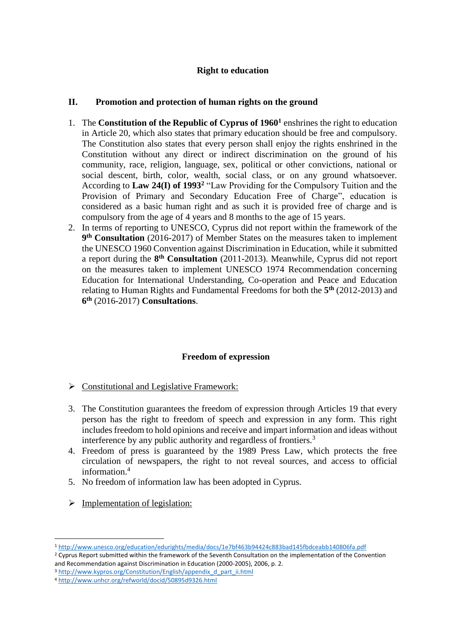#### **Right to education**

### **II. Promotion and protection of human rights on the ground**

- 1. The **Constitution of the Republic of Cyprus of 1960<sup>1</sup>** enshrines the right to education in Article 20, which also states that primary education should be free and compulsory. The Constitution also states that every person shall enjoy the rights enshrined in the Constitution without any direct or indirect discrimination on the ground of his community, race, religion, language, sex, political or other convictions, national or social descent, birth, color, wealth, social class, or on any ground whatsoever. According to **Law 24(I) of 1993<sup>2</sup>** "Law Providing for the Compulsory Tuition and the Provision of Primary and Secondary Education Free of Charge", education is considered as a basic human right and as such it is provided free of charge and is compulsory from the age of 4 years and 8 months to the age of 15 years.
- 2. In terms of reporting to UNESCO, Cyprus did not report within the framework of the **9 th Consultation** (2016-2017) of Member States on the measures taken to implement the UNESCO 1960 Convention against Discrimination in Education, while it submitted a report during the **8 th Consultation** (2011-2013). Meanwhile, Cyprus did not report on the measures taken to implement UNESCO 1974 Recommendation concerning Education for International Understanding, Co-operation and Peace and Education relating to Human Rights and Fundamental Freedoms for both the **5 th** (2012-2013) and **6 th** (2016-2017) **Consultations**.

## **Freedom of expression**

- $\triangleright$  Constitutional and Legislative Framework:
- 3. The Constitution guarantees the freedom of expression through Articles 19 that every person has the right to freedom of speech and expression in any form. This right includes freedom to hold opinions and receive and impart information and ideas without interference by any public authority and regardless of frontiers.<sup>3</sup>
- 4. Freedom of press is guaranteed by the 1989 Press Law, which protects the free circulation of newspapers, the right to not reveal sources, and access to official information.<sup>4</sup>
- 5. No freedom of information law has been adopted in Cyprus.
- $\triangleright$  Implementation of legislation:

**.** 

<sup>1</sup> <http://www.unesco.org/education/edurights/media/docs/1e7bf463b94424c883bad145fbdceabb140806fa.pdf> <sup>2</sup> Cyprus Report submitted within the framework of the Seventh Consultation on the implementation of the Convention

and Recommendation against Discrimination in Education (2000-2005), 2006, p. 2.

<sup>3</sup> [http://www.kypros.org/Constitution/English/appendix\\_d\\_part\\_ii.html](http://www.kypros.org/Constitution/English/appendix_d_part_ii.html)

<sup>4</sup> <http://www.unhcr.org/refworld/docid/50895d9326.html>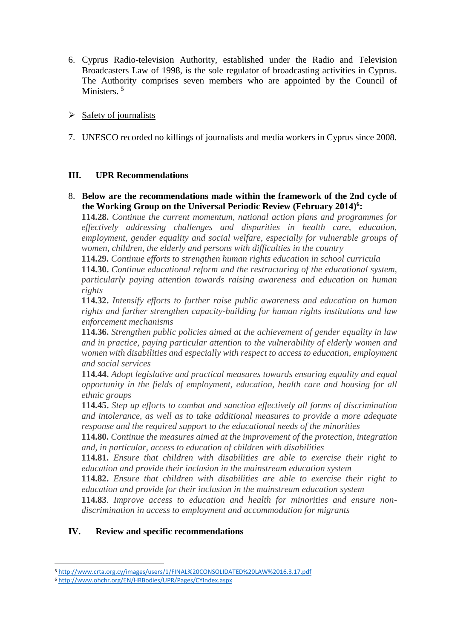- 6. Cyprus Radio-television Authority, established under the Radio and Television Broadcasters Law of 1998, is the sole regulator of broadcasting activities in Cyprus. The Authority comprises seven members who are appointed by the Council of Ministers.<sup>5</sup>
- $\triangleright$  Safety of journalists
- 7. UNESCO recorded no killings of journalists and media workers in Cyprus since 2008.

## **III. UPR Recommendations**

8. **Below are the recommendations made within the framework of the 2nd cycle of the Working Group on the Universal Periodic Review (February 2014) 6 :**

**114.28.** *Continue the current momentum, national action plans and programmes for effectively addressing challenges and disparities in health care, education, employment, gender equality and social welfare, especially for vulnerable groups of women, children, the elderly and persons with difficulties in the country*

**114.29.** *Continue efforts to strengthen human rights education in school curricula*

**114.30.** *Continue educational reform and the restructuring of the educational system, particularly paying attention towards raising awareness and education on human rights*

**114.32.** *Intensify efforts to further raise public awareness and education on human rights and further strengthen capacity-building for human rights institutions and law enforcement mechanisms*

**114.36.** *Strengthen public policies aimed at the achievement of gender equality in law and in practice, paying particular attention to the vulnerability of elderly women and women with disabilities and especially with respect to access to education, employment and social services*

**114.44.** *Adopt legislative and practical measures towards ensuring equality and equal opportunity in the fields of employment, education, health care and housing for all ethnic groups*

**114.45.** *Step up efforts to combat and sanction effectively all forms of discrimination and intolerance, as well as to take additional measures to provide a more adequate response and the required support to the educational needs of the minorities*

**114.80.** *Continue the measures aimed at the improvement of the protection, integration and, in particular, access to education of children with disabilities*

**114.81.** *Ensure that children with disabilities are able to exercise their right to education and provide their inclusion in the mainstream education system*

**114.82.** *Ensure that children with disabilities are able to exercise their right to education and provide for their inclusion in the mainstream education system*

**114.83**. *Improve access to education and health for minorities and ensure nondiscrimination in access to employment and accommodation for migrants*

## **IV. Review and specific recommendations**

**<sup>.</sup>** <sup>5</sup> <http://www.crta.org.cy/images/users/1/FINAL%20CONSOLIDATED%20LAW%2016.3.17.pdf>

<sup>6</sup> <http://www.ohchr.org/EN/HRBodies/UPR/Pages/CYIndex.aspx>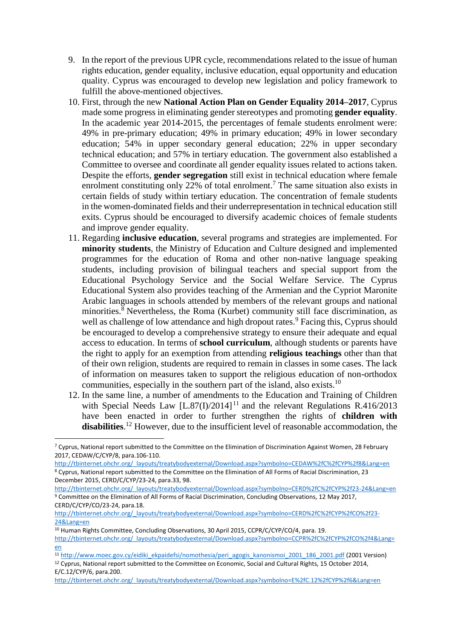- 9. In the report of the previous UPR cycle, recommendations related to the issue of human rights education, gender equality, inclusive education, equal opportunity and education quality. Cyprus was encouraged to develop new legislation and policy framework to fulfill the above-mentioned objectives.
- 10. First, through the new **National Action Plan on Gender Equality 2014–2017**, Cyprus made some progress in eliminating gender stereotypes and promoting **gender equality**. In the academic year 2014-2015, the percentages of female students enrolment were: 49% in pre-primary education; 49% in primary education; 49% in lower secondary education; 54% in upper secondary general education; 22% in upper secondary technical education; and 57% in tertiary education. The government also established a Committee to oversee and coordinate all gender equality issues related to actions taken. Despite the efforts, **gender segregation** still exist in technical education where female enrolment constituting only 22% of total enrolment.<sup>7</sup> The same situation also exists in certain fields of study within tertiary education. The concentration of female students in the women-dominated fields and their underrepresentation in technical education still exits. Cyprus should be encouraged to diversify academic choices of female students and improve gender equality.
- 11. Regarding **inclusive education**, several programs and strategies are implemented. For **minority students**, the Ministry of Education and Culture designed and implemented programmes for the education of Roma and other non-native language speaking students, including provision of bilingual teachers and special support from the Educational Psychology Service and the Social Welfare Service. The Cyprus Educational System also provides teaching of the Armenian and the Cypriot Maronite Arabic languages in schools attended by members of the relevant groups and national minorities. $8$ <sup>8</sup> Nevertheless, the Roma (Kurbet) community still face discrimination, as well as challenge of low attendance and high dropout rates.<sup>9</sup> Facing this, Cyprus should be encouraged to develop a comprehensive strategy to ensure their adequate and equal access to education. In terms of **school curriculum**, although students or parents have the right to apply for an exemption from attending **religious teachings** other than that of their own religion, students are required to remain in classes in some cases. The lack of information on measures taken to support the religious education of non-orthodox communities, especially in the southern part of the island, also exists.<sup>10</sup>
- 12. In the same line, a number of amendments to the Education and Training of Children with Special Needs Law  $[L.87(I)/2014]^{11}$  and the relevant Regulations R.416/2013 have been enacted in order to further strengthen the rights of **children with disabilities**. <sup>12</sup> However, due to the insufficient level of reasonable accommodation, the

1

<sup>11</sup> [http://www.moec.gov.cy/eidiki\\_ekpaidefsi/nomothesia/peri\\_agogis\\_kanonismoi\\_2001\\_186\\_2001.pdf](http://www.moec.gov.cy/eidiki_ekpaidefsi/nomothesia/peri_agogis_kanonismoi_2001_186_2001.pdf) (2001 Version)

<sup>7</sup> Cyprus, National report submitted to the Committee on the Elimination of Discrimination Against Women, 28 February 2017, CEDAW/C/CYP/8, para.106-110.

[http://tbinternet.ohchr.org/\\_layouts/treatybodyexternal/Download.aspx?symbolno=CEDAW%2fC%2fCYP%2f8&Lang=en](http://tbinternet.ohchr.org/_layouts/treatybodyexternal/Download.aspx?symbolno=CEDAW%2fC%2fCYP%2f8&Lang=en) <sup>8</sup> Cyprus, National report submitted to the Committee on the Elimination of All Forms of Racial Discrimination, 23 December 2015, CERD/C/CYP/23-24, para.33, 98.

[http://tbinternet.ohchr.org/\\_layouts/treatybodyexternal/Download.aspx?symbolno=CERD%2fC%2fCYP%2f23-24&Lang=en](http://tbinternet.ohchr.org/_layouts/treatybodyexternal/Download.aspx?symbolno=CERD%2fC%2fCYP%2f23-24&Lang=en) <sup>9</sup> Committee on the Elimination of All Forms of Racial Discrimination, Concluding Observations, 12 May 2017, CERD/C/CYP/CO/23-24, para.18.

[http://tbinternet.ohchr.org/\\_layouts/treatybodyexternal/Download.aspx?symbolno=CERD%2fC%2fCYP%2fCO%2f23-](http://tbinternet.ohchr.org/_layouts/treatybodyexternal/Download.aspx?symbolno=CERD%2fC%2fCYP%2fCO%2f23-24&Lang=en) [24&Lang=en](http://tbinternet.ohchr.org/_layouts/treatybodyexternal/Download.aspx?symbolno=CERD%2fC%2fCYP%2fCO%2f23-24&Lang=en)

<sup>&</sup>lt;sup>10</sup> Human Rights Committee, Concluding Observations, 30 April 2015, CCPR/C/CYP/CO/4, para. 19.

[http://tbinternet.ohchr.org/\\_layouts/treatybodyexternal/Download.aspx?symbolno=CCPR%2fC%2fCYP%2fCO%2f4&Lang=](http://tbinternet.ohchr.org/_layouts/treatybodyexternal/Download.aspx?symbolno=CCPR%2fC%2fCYP%2fCO%2f4&Lang=en) [en](http://tbinternet.ohchr.org/_layouts/treatybodyexternal/Download.aspx?symbolno=CCPR%2fC%2fCYP%2fCO%2f4&Lang=en)

<sup>12</sup> Cyprus, National report submitted to the Committee on Economic, Social and Cultural Rights, 15 October 2014, E/C.12/CYP/6, para.200.

[http://tbinternet.ohchr.org/\\_layouts/treatybodyexternal/Download.aspx?symbolno=E%2fC.12%2fCYP%2f6&Lang=en](http://tbinternet.ohchr.org/_layouts/treatybodyexternal/Download.aspx?symbolno=E%2fC.12%2fCYP%2f6&Lang=en)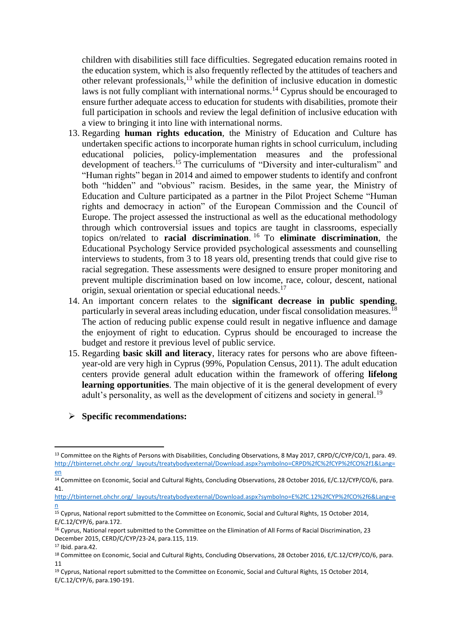children with disabilities still face difficulties. Segregated education remains rooted in the education system, which is also frequently reflected by the attitudes of teachers and other relevant professionals,<sup>13</sup> while the definition of inclusive education in domestic laws is not fully compliant with international norms.<sup>14</sup> Cyprus should be encouraged to ensure further adequate access to education for students with disabilities, promote their full participation in schools and review the legal definition of inclusive education with a view to bringing it into line with international norms.

- 13. Regarding **human rights education**, the Ministry of Education and Culture has undertaken specific actions to incorporate human rights in school curriculum, including educational policies, policy-implementation measures and the professional development of teachers.<sup>15</sup> The curriculums of "Diversity and inter-culturalism" and "Human rights" began in 2014 and aimed to empower students to identify and confront both "hidden" and "obvious" racism. Besides, in the same year, the Ministry of Education and Culture participated as a partner in the Pilot Project Scheme "Human rights and democracy in action" of the European Commission and the Council of Europe. The project assessed the instructional as well as the educational methodology through which controversial issues and topics are taught in classrooms, especially topics on/related to **racial discrimination**. <sup>16</sup> To **eliminate discrimination**, the Educational Psychology Service provided psychological assessments and counselling interviews to students, from 3 to 18 years old, presenting trends that could give rise to racial segregation. These assessments were designed to ensure proper monitoring and prevent multiple discrimination based on low income, race, colour, descent, national origin, sexual orientation or special educational needs.<sup>17</sup>
- 14. An important concern relates to the **significant decrease in public spending**, particularly in several areas including education, under fiscal consolidation measures.<sup>18</sup> The action of reducing public expense could result in negative influence and damage the enjoyment of right to education. Cyprus should be encouraged to increase the budget and restore it previous level of public service.
- 15. Regarding **basic skill and literacy**, literacy rates for persons who are above fifteenyear-old are very high in Cyprus (99%, Population Census, 2011). The adult education centers provide general adult education within the framework of offering **lifelong learning opportunities**. The main objective of it is the general development of every adult's personality, as well as the development of citizens and society in general.<sup>19</sup>

#### **Specific recommendations:**

**.** 

<sup>&</sup>lt;sup>13</sup> Committee on the Rights of Persons with Disabilities, Concluding Observations, 8 May 2017, CRPD/C/CYP/CO/1, para. 49. [http://tbinternet.ohchr.org/\\_layouts/treatybodyexternal/Download.aspx?symbolno=CRPD%2fC%2fCYP%2fCO%2f1&Lang=](http://tbinternet.ohchr.org/_layouts/treatybodyexternal/Download.aspx?symbolno=CRPD%2fC%2fCYP%2fCO%2f1&Lang=en) [en](http://tbinternet.ohchr.org/_layouts/treatybodyexternal/Download.aspx?symbolno=CRPD%2fC%2fCYP%2fCO%2f1&Lang=en)

<sup>&</sup>lt;sup>14</sup> Committee on Economic, Social and Cultural Rights, Concluding Observations, 28 October 2016, E/C.12/CYP/CO/6, para. 41.

[http://tbinternet.ohchr.org/\\_layouts/treatybodyexternal/Download.aspx?symbolno=E%2fC.12%2fCYP%2fCO%2f6&Lang=e](http://tbinternet.ohchr.org/_layouts/treatybodyexternal/Download.aspx?symbolno=E%2fC.12%2fCYP%2fCO%2f6&Lang=en) [n](http://tbinternet.ohchr.org/_layouts/treatybodyexternal/Download.aspx?symbolno=E%2fC.12%2fCYP%2fCO%2f6&Lang=en)

<sup>15</sup> Cyprus, National report submitted to the Committee on Economic, Social and Cultural Rights, 15 October 2014, E/C.12/CYP/6, para.172.

<sup>&</sup>lt;sup>16</sup> Cyprus, National report submitted to the Committee on the Elimination of All Forms of Racial Discrimination, 23 December 2015, CERD/C/CYP/23-24, para.115, 119.

<sup>17</sup> Ibid. para.42.

<sup>&</sup>lt;sup>18</sup> Committee on Economic, Social and Cultural Rights, Concluding Observations, 28 October 2016, E/C.12/CYP/CO/6, para. 11

<sup>19</sup> Cyprus, National report submitted to the Committee on Economic, Social and Cultural Rights, 15 October 2014, E/C.12/CYP/6, para.190-191.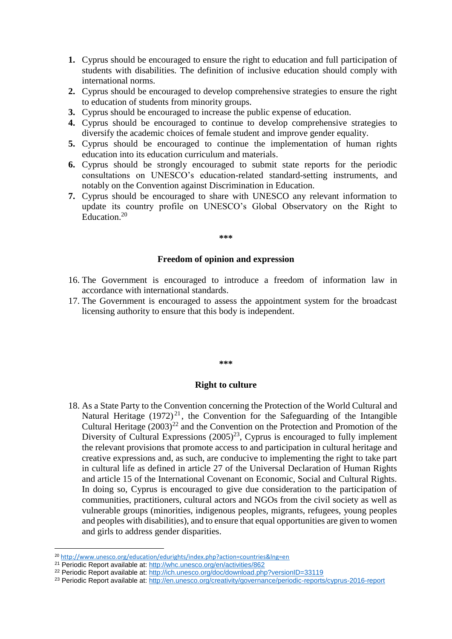- **1.** Cyprus should be encouraged to ensure the right to education and full participation of students with disabilities. The definition of inclusive education should comply with international norms.
- **2.** Cyprus should be encouraged to develop comprehensive strategies to ensure the right to education of students from minority groups.
- **3.** Cyprus should be encouraged to increase the public expense of education.
- **4.** Cyprus should be encouraged to continue to develop comprehensive strategies to diversify the academic choices of female student and improve gender equality.
- **5.** Cyprus should be encouraged to continue the implementation of human rights education into its education curriculum and materials.
- **6.** Cyprus should be strongly encouraged to submit state reports for the periodic consultations on UNESCO's education-related standard-setting instruments, and notably on the Convention against Discrimination in Education.
- **7.** Cyprus should be encouraged to share with UNESCO any relevant information to update its country profile on UNESCO's Global Observatory on the Right to Education. 20

#### **\*\*\***

#### **Freedom of opinion and expression**

- 16. The Government is encouraged to introduce a freedom of information law in accordance with international standards.
- 17. The Government is encouraged to assess the appointment system for the broadcast licensing authority to ensure that this body is independent.

#### **\*\*\***

#### **Right to culture**

18. As a State Party to the Convention concerning the Protection of the World Cultural and Natural Heritage  $(1972)^{21}$ , the Convention for the Safeguarding of the Intangible Cultural Heritage  $(2003)^{22}$  and the Convention on the Protection and Promotion of the Diversity of Cultural Expressions  $(2005)^{23}$ , Cyprus is encouraged to fully implement the relevant provisions that promote access to and participation in cultural heritage and creative expressions and, as such, are conducive to implementing the right to take part in cultural life as defined in article 27 of the Universal Declaration of Human Rights and article 15 of the International Covenant on Economic, Social and Cultural Rights. In doing so, Cyprus is encouraged to give due consideration to the participation of communities, practitioners, cultural actors and NGOs from the civil society as well as vulnerable groups (minorities, indigenous peoples, migrants, refugees, young peoples and peoples with disabilities), and to ensure that equal opportunities are given to women and girls to address gender disparities.

**.** 

<sup>20</sup> <http://www.unesco.org/education/edurights/index.php?action=countries&lng=en>

<sup>21</sup> Periodic Report available at: [http://whc.unesco.org/en/activities/862](http://whc.unesco.org/en/activities/862/)

<sup>22</sup> Periodic Report available at:<http://ich.unesco.org/doc/download.php?versionID=33119>

<sup>&</sup>lt;sup>23</sup> Periodic Report available at:<http://en.unesco.org/creativity/governance/periodic-reports/cyprus-2016-report>